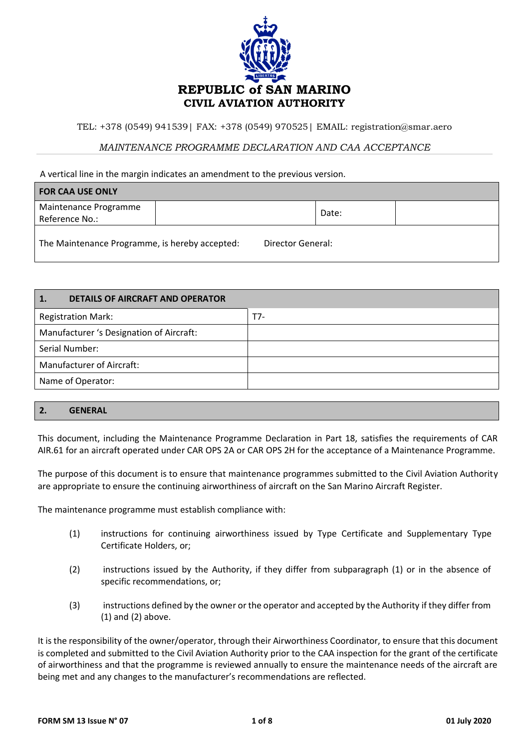

TEL: +378 (0549) 941539| FAX: +378 (0549) 970525| EMAIL: registration@smar.aero

## *MAINTENANCE PROGRAMME DECLARATION AND CAA ACCEPTANCE*

A vertical line in the margin indicates an amendment to the previous version.

| <b>FOR CAA USE ONLY</b>                        |  |                   |       |  |
|------------------------------------------------|--|-------------------|-------|--|
| Maintenance Programme                          |  |                   | Date: |  |
| Reference No.:                                 |  |                   |       |  |
| The Maintenance Programme, is hereby accepted: |  | Director General: |       |  |

| $\overline{\mathbf{1}}$<br><b>DETAILS OF AIRCRAFT AND OPERATOR</b> |     |
|--------------------------------------------------------------------|-----|
| <b>Registration Mark:</b>                                          | T7- |
| Manufacturer 's Designation of Aircraft:                           |     |
| Serial Number:                                                     |     |
| Manufacturer of Aircraft:                                          |     |
| Name of Operator:                                                  |     |
|                                                                    |     |

## **2. GENERAL**

This document, including the Maintenance Programme Declaration in Part 18, satisfies the requirements of CAR AIR.61 for an aircraft operated under CAR OPS 2A or CAR OPS 2H for the acceptance of a Maintenance Programme.

The purpose of this document is to ensure that maintenance programmes submitted to the Civil Aviation Authority are appropriate to ensure the continuing airworthiness of aircraft on the San Marino Aircraft Register.

The maintenance programme must establish compliance with:

- (1) instructions for continuing airworthiness issued by Type Certificate and Supplementary Type Certificate Holders, or;
- (2) instructions issued by the Authority, if they differ from subparagraph (1) or in the absence of specific recommendations, or;
- (3) instructions defined by the owner or the operator and accepted by the Authority if they differ from (1) and (2) above.

It is the responsibility of the owner/operator, through their Airworthiness Coordinator, to ensure that this document is completed and submitted to the Civil Aviation Authority prior to the CAA inspection for the grant of the certificate of airworthiness and that the programme is reviewed annually to ensure the maintenance needs of the aircraft are being met and any changes to the manufacturer's recommendations are reflected.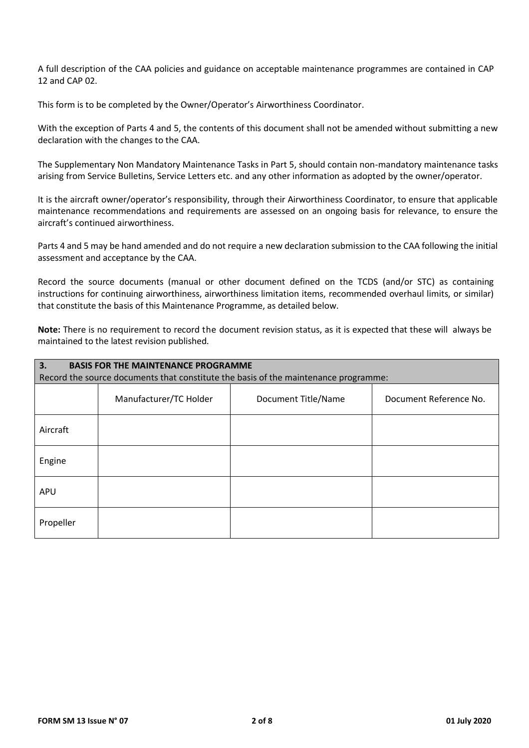A full description of the CAA policies and guidance on acceptable maintenance programmes are contained in CAP 12 and CAP 02.

This form is to be completed by the Owner/Operator's Airworthiness Coordinator.

With the exception of Parts 4 and 5, the contents of this document shall not be amended without submitting a new declaration with the changes to the CAA.

The Supplementary Non Mandatory Maintenance Tasks in Part 5, should contain non-mandatory maintenance tasks arising from Service Bulletins, Service Letters etc. and any other information as adopted by the owner/operator.

It is the aircraft owner/operator's responsibility, through their Airworthiness Coordinator, to ensure that applicable maintenance recommendations and requirements are assessed on an ongoing basis for relevance, to ensure the aircraft's continued airworthiness.

Parts 4 and 5 may be hand amended and do not require a new declaration submission to the CAA following the initial assessment and acceptance by the CAA.

Record the source documents (manual or other document defined on the TCDS (and/or STC) as containing instructions for continuing airworthiness, airworthiness limitation items, recommended overhaul limits, or similar) that constitute the basis of this Maintenance Programme, as detailed below.

**Note:** There is no requirement to record the document revision status, as it is expected that these will always be maintained to the latest revision published.

| <b>BASIS FOR THE MAINTENANCE PROGRAMME</b><br>3.                                    |                        |                     |                        |
|-------------------------------------------------------------------------------------|------------------------|---------------------|------------------------|
| Record the source documents that constitute the basis of the maintenance programme: |                        |                     |                        |
|                                                                                     | Manufacturer/TC Holder | Document Title/Name | Document Reference No. |
| Aircraft                                                                            |                        |                     |                        |
| Engine                                                                              |                        |                     |                        |
| APU                                                                                 |                        |                     |                        |
| Propeller                                                                           |                        |                     |                        |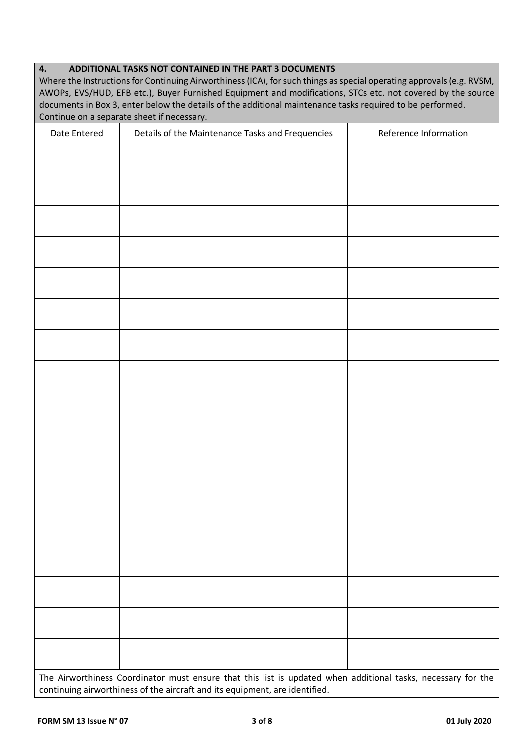| ADDITIONAL TASKS NOT CONTAINED IN THE PART 3 DOCUMENTS<br>4.<br>Where the Instructions for Continuing Airworthiness (ICA), for such things as special operating approvals (e.g. RVSM,<br>AWOPs, EVS/HUD, EFB etc.), Buyer Furnished Equipment and modifications, STCs etc. not covered by the source<br>documents in Box 3, enter below the details of the additional maintenance tasks required to be performed.<br>Continue on a separate sheet if necessary. |                                                                                                              |                       |  |
|-----------------------------------------------------------------------------------------------------------------------------------------------------------------------------------------------------------------------------------------------------------------------------------------------------------------------------------------------------------------------------------------------------------------------------------------------------------------|--------------------------------------------------------------------------------------------------------------|-----------------------|--|
| Date Entered                                                                                                                                                                                                                                                                                                                                                                                                                                                    | Details of the Maintenance Tasks and Frequencies                                                             | Reference Information |  |
|                                                                                                                                                                                                                                                                                                                                                                                                                                                                 |                                                                                                              |                       |  |
|                                                                                                                                                                                                                                                                                                                                                                                                                                                                 |                                                                                                              |                       |  |
|                                                                                                                                                                                                                                                                                                                                                                                                                                                                 |                                                                                                              |                       |  |
|                                                                                                                                                                                                                                                                                                                                                                                                                                                                 |                                                                                                              |                       |  |
|                                                                                                                                                                                                                                                                                                                                                                                                                                                                 |                                                                                                              |                       |  |
|                                                                                                                                                                                                                                                                                                                                                                                                                                                                 |                                                                                                              |                       |  |
|                                                                                                                                                                                                                                                                                                                                                                                                                                                                 |                                                                                                              |                       |  |
|                                                                                                                                                                                                                                                                                                                                                                                                                                                                 |                                                                                                              |                       |  |
|                                                                                                                                                                                                                                                                                                                                                                                                                                                                 |                                                                                                              |                       |  |
|                                                                                                                                                                                                                                                                                                                                                                                                                                                                 |                                                                                                              |                       |  |
|                                                                                                                                                                                                                                                                                                                                                                                                                                                                 |                                                                                                              |                       |  |
|                                                                                                                                                                                                                                                                                                                                                                                                                                                                 |                                                                                                              |                       |  |
|                                                                                                                                                                                                                                                                                                                                                                                                                                                                 |                                                                                                              |                       |  |
|                                                                                                                                                                                                                                                                                                                                                                                                                                                                 | The Airworthiness Coordinator must ensure that this list is updated when additional tasks, necessary for the |                       |  |
|                                                                                                                                                                                                                                                                                                                                                                                                                                                                 |                                                                                                              |                       |  |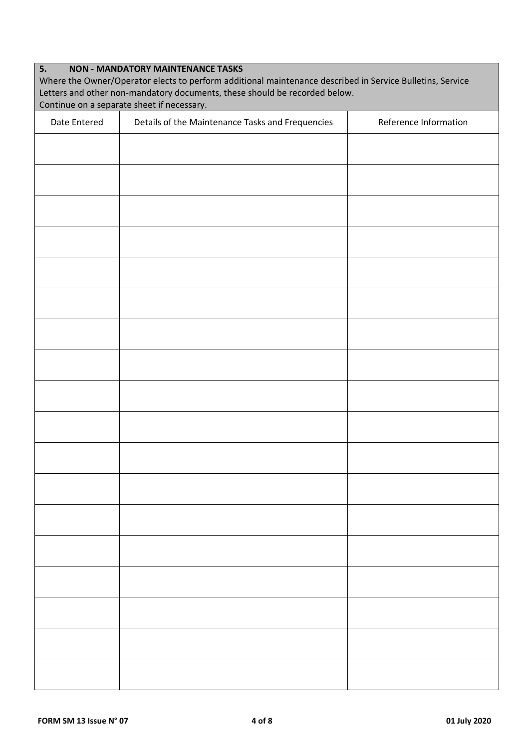| 5.<br><b>NON - MANDATORY MAINTENANCE TASKS</b><br>Where the Owner/Operator elects to perform additional maintenance described in Service Bulletins, Service<br>Letters and other non-mandatory documents, these should be recorded below.<br>Continue on a separate sheet if necessary. |                                                  |                       |
|-----------------------------------------------------------------------------------------------------------------------------------------------------------------------------------------------------------------------------------------------------------------------------------------|--------------------------------------------------|-----------------------|
| Date Entered                                                                                                                                                                                                                                                                            | Details of the Maintenance Tasks and Frequencies | Reference Information |
|                                                                                                                                                                                                                                                                                         |                                                  |                       |
|                                                                                                                                                                                                                                                                                         |                                                  |                       |
|                                                                                                                                                                                                                                                                                         |                                                  |                       |
|                                                                                                                                                                                                                                                                                         |                                                  |                       |
|                                                                                                                                                                                                                                                                                         |                                                  |                       |
|                                                                                                                                                                                                                                                                                         |                                                  |                       |
|                                                                                                                                                                                                                                                                                         |                                                  |                       |
|                                                                                                                                                                                                                                                                                         |                                                  |                       |
|                                                                                                                                                                                                                                                                                         |                                                  |                       |
|                                                                                                                                                                                                                                                                                         |                                                  |                       |
|                                                                                                                                                                                                                                                                                         |                                                  |                       |
|                                                                                                                                                                                                                                                                                         |                                                  |                       |
|                                                                                                                                                                                                                                                                                         |                                                  |                       |
|                                                                                                                                                                                                                                                                                         |                                                  |                       |
|                                                                                                                                                                                                                                                                                         |                                                  |                       |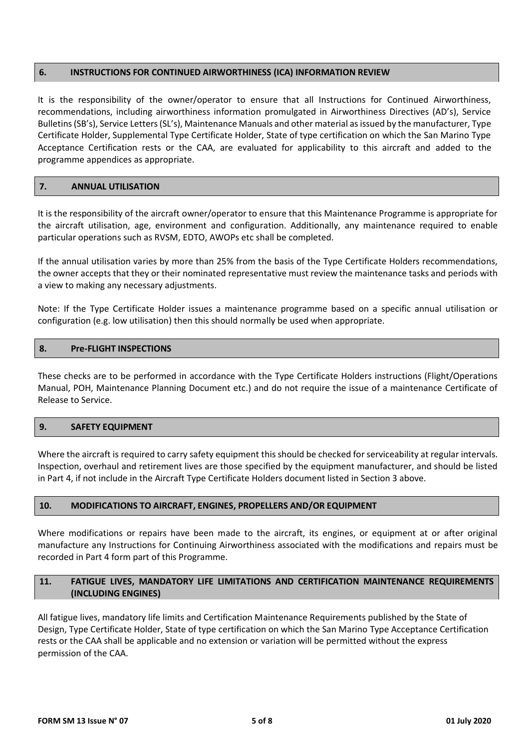### **6. INSTRUCTIONS FOR CONTINUED AIRWORTHINESS (ICA) INFORMATION REVIEW**

It is the responsibility of the owner/operator to ensure that all Instructions for Continued Airworthiness, recommendations, including airworthiness information promulgated in Airworthiness Directives (AD's), Service Bulletins (SB's), Service Letters (SL's), Maintenance Manuals and other material as issued by the manufacturer, Type Certificate Holder, Supplemental Type Certificate Holder, State of type certification on which the San Marino Type Acceptance Certification rests or the CAA, are evaluated for applicability to this aircraft and added to the programme appendices as appropriate.

#### **7. ANNUAL UTILISATION**

It is the responsibility of the aircraft owner/operator to ensure that this Maintenance Programme is appropriate for the aircraft utilisation, age, environment and configuration. Additionally, any maintenance required to enable particular operations such as RVSM, EDTO, AWOPs etc shall be completed.

If the annual utilisation varies by more than 25% from the basis of the Type Certificate Holders recommendations, the owner accepts that they or their nominated representative must review the maintenance tasks and periods with a view to making any necessary adjustments.

Note: If the Type Certificate Holder issues a maintenance programme based on a specific annual utilisation or configuration (e.g. low utilisation) then this should normally be used when appropriate.

### **8. Pre-FLIGHT INSPECTIONS**

These checks are to be performed in accordance with the Type Certificate Holders instructions (Flight/Operations Manual, POH, Maintenance Planning Document etc.) and do not require the issue of a maintenance Certificate of Release to Service.

#### **9. SAFETY EQUIPMENT**

Where the aircraft is required to carry safety equipment this should be checked for serviceability at regular intervals. Inspection, overhaul and retirement lives are those specified by the equipment manufacturer, and should be listed in Part 4, if not include in the Aircraft Type Certificate Holders document listed in Section 3 above.

### **10. MODIFICATIONS TO AIRCRAFT, ENGINES, PROPELLERS AND/OR EQUIPMENT**

Where modifications or repairs have been made to the aircraft, its engines, or equipment at or after original manufacture any Instructions for Continuing Airworthiness associated with the modifications and repairs must be recorded in Part 4 form part of this Programme.

## **11. FATIGUE LIVES, MANDATORY LIFE LIMITATIONS AND CERTIFICATION MAINTENANCE REQUIREMENTS (INCLUDING ENGINES)**

All fatigue lives, mandatory life limits and Certification Maintenance Requirements published by the State of Design, Type Certificate Holder, State of type certification on which the San Marino Type Acceptance Certification rests or the CAA shall be applicable and no extension or variation will be permitted without the express permission of the CAA.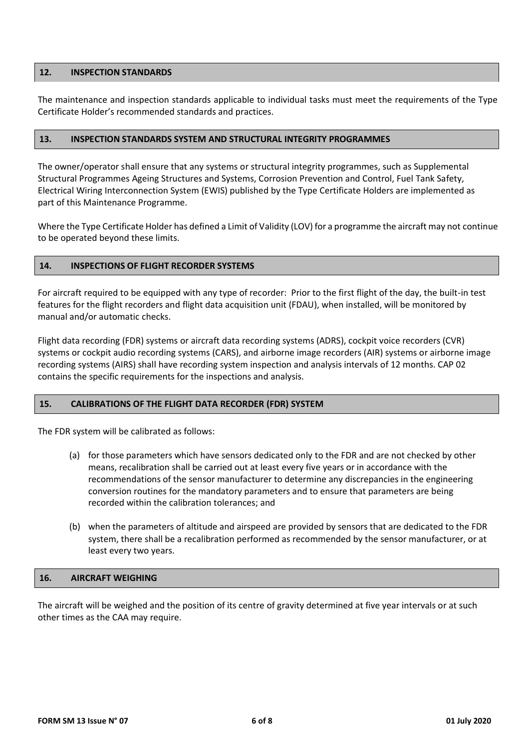### **12. INSPECTION STANDARDS**

The maintenance and inspection standards applicable to individual tasks must meet the requirements of the Type Certificate Holder's recommended standards and practices.

### **13. INSPECTION STANDARDS SYSTEM AND STRUCTURAL INTEGRITY PROGRAMMES**

The owner/operator shall ensure that any systems or structural integrity programmes, such as Supplemental Structural Programmes Ageing Structures and Systems, Corrosion Prevention and Control, Fuel Tank Safety, Electrical Wiring Interconnection System (EWIS) published by the Type Certificate Holders are implemented as part of this Maintenance Programme.

Where the Type Certificate Holder has defined a Limit of Validity (LOV) for a programme the aircraft may not continue to be operated beyond these limits.

### **14. INSPECTIONS OF FLIGHT RECORDER SYSTEMS**

For aircraft required to be equipped with any type of recorder: Prior to the first flight of the day, the built-in test features for the flight recorders and flight data acquisition unit (FDAU), when installed, will be monitored by manual and/or automatic checks.

Flight data recording (FDR) systems or aircraft data recording systems (ADRS), cockpit voice recorders (CVR) systems or cockpit audio recording systems (CARS), and airborne image recorders (AIR) systems or airborne image recording systems (AIRS) shall have recording system inspection and analysis intervals of 12 months. CAP 02 contains the specific requirements for the inspections and analysis.

### **15. CALIBRATIONS OF THE FLIGHT DATA RECORDER (FDR) SYSTEM**

The FDR system will be calibrated as follows:

- (a) for those parameters which have sensors dedicated only to the FDR and are not checked by other means, recalibration shall be carried out at least every five years or in accordance with the recommendations of the sensor manufacturer to determine any discrepancies in the engineering conversion routines for the mandatory parameters and to ensure that parameters are being recorded within the calibration tolerances; and
- (b) when the parameters of altitude and airspeed are provided by sensors that are dedicated to the FDR system, there shall be a recalibration performed as recommended by the sensor manufacturer, or at least every two years.

#### **16. AIRCRAFT WEIGHING**

The aircraft will be weighed and the position of its centre of gravity determined at five year intervals or at such other times as the CAA may require.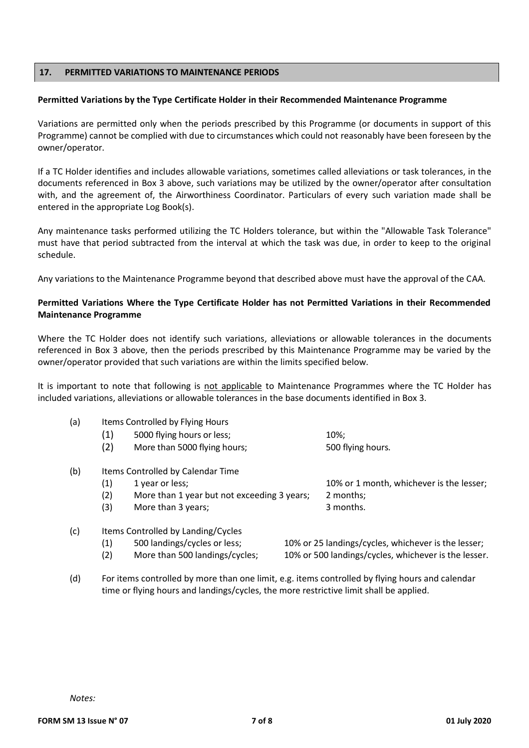### **17. PERMITTED VARIATIONS TO MAINTENANCE PERIODS**

#### **Permitted Variations by the Type Certificate Holder in their Recommended Maintenance Programme**

Variations are permitted only when the periods prescribed by this Programme (or documents in support of this Programme) cannot be complied with due to circumstances which could not reasonably have been foreseen by the owner/operator.

If a TC Holder identifies and includes allowable variations, sometimes called alleviations or task tolerances, in the documents referenced in Box 3 above, such variations may be utilized by the owner/operator after consultation with, and the agreement of, the Airworthiness Coordinator. Particulars of every such variation made shall be entered in the appropriate Log Book(s).

Any maintenance tasks performed utilizing the TC Holders tolerance, but within the "Allowable Task Tolerance" must have that period subtracted from the interval at which the task was due, in order to keep to the original schedule.

Any variations to the Maintenance Programme beyond that described above must have the approval of the CAA.

## **Permitted Variations Where the Type Certificate Holder has not Permitted Variations in their Recommended Maintenance Programme**

Where the TC Holder does not identify such variations, alleviations or allowable tolerances in the documents referenced in Box 3 above, then the periods prescribed by this Maintenance Programme may be varied by the owner/operator provided that such variations are within the limits specified below.

It is important to note that following is not applicable to Maintenance Programmes where the TC Holder has included variations, alleviations or allowable tolerances in the base documents identified in Box 3.

| (a) | Items Controlled by Flying Hours   |                                             |  |                                                      |  |
|-----|------------------------------------|---------------------------------------------|--|------------------------------------------------------|--|
|     | (1)                                | 5000 flying hours or less;                  |  | 10%;                                                 |  |
|     | (2)                                | More than 5000 flying hours;                |  | 500 flying hours.                                    |  |
| (b) | Items Controlled by Calendar Time  |                                             |  |                                                      |  |
|     | (1)                                | 1 year or less;                             |  | 10% or 1 month, whichever is the lesser;             |  |
|     | (2)                                | More than 1 year but not exceeding 3 years; |  | 2 months;                                            |  |
|     | (3)                                | More than 3 years;                          |  | 3 months.                                            |  |
| (c) | Items Controlled by Landing/Cycles |                                             |  |                                                      |  |
|     | (1)                                | 500 landings/cycles or less;                |  | 10% or 25 landings/cycles, whichever is the lesser;  |  |
|     | (2)                                | More than 500 landings/cycles;              |  | 10% or 500 landings/cycles, whichever is the lesser. |  |

(d) For items controlled by more than one limit, e.g. items controlled by flying hours and calendar time or flying hours and landings/cycles, the more restrictive limit shall be applied.

*Notes:*